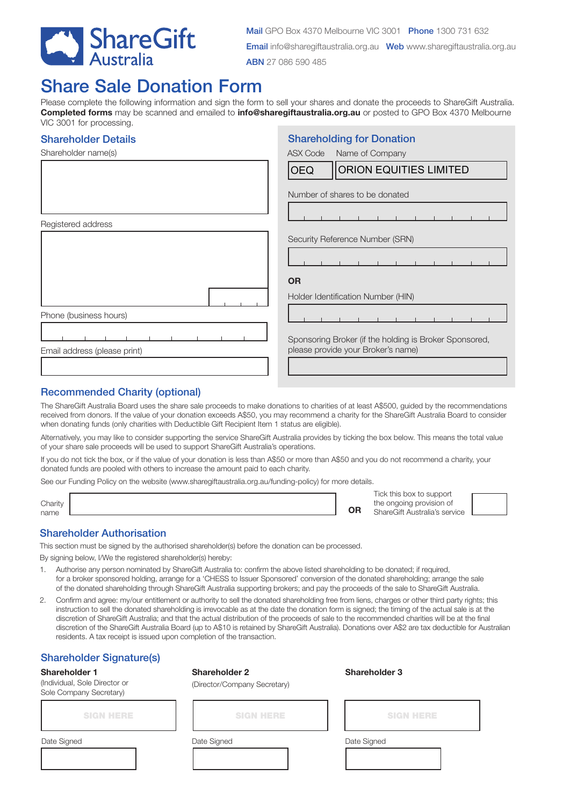

Shareholding for Donation

# Share Sale Donation Form

Please complete the following information and sign the form to sell your shares and donate the proceeds to ShareGift Australia. **Completed forms** may be scanned and emailed to **info@sharegiftaustralia.org.au** or posted to GPO Box 4370 Melbourne VIC 3001 for processing.

#### Shareholder Details

| <b>ASX Code</b><br>Name of Company                                                           |
|----------------------------------------------------------------------------------------------|
| <b>ORION EQUITIES LIMITED</b><br><b>OEQ</b>                                                  |
| Number of shares to be donated                                                               |
|                                                                                              |
| Security Reference Number (SRN)                                                              |
|                                                                                              |
| <b>OR</b>                                                                                    |
| Holder Identification Number (HIN)                                                           |
|                                                                                              |
| Sponsoring Broker (if the holding is Broker Sponsored,<br>please provide your Broker's name) |
|                                                                                              |

## Recommended Charity (optional)

The ShareGift Australia Board uses the share sale proceeds to make donations to charities of at least A\$500, guided by the recommendations received from donors. If the value of your donation exceeds A\$50, you may recommend a charity for the ShareGift Australia Board to consider when donating funds (only charities with Deductible Gift Recipient Item 1 status are eligible).

Alternatively, you may like to consider supporting the service ShareGift Australia provides by ticking the box below. This means the total value of your share sale proceeds will be used to support ShareGift Australia's operations.

If you do not tick the box, or if the value of your donation is less than A\$50 or more than A\$50 and you do not recommend a charity, your donated funds are pooled with others to increase the amount paid to each charity.

See our Funding Policy on the website (www.sharegiftaustralia.org.au/funding-policy) for more details.

|         |           | Tick this box to support      |
|---------|-----------|-------------------------------|
|         |           |                               |
| Charity |           | the ongoing provision of      |
| name    | <b>OR</b> | ShareGift Australia's service |

#### Shareholder Authorisation

This section must be signed by the authorised shareholder(s) before the donation can be processed.

By signing below, I/We the registered shareholder(s) hereby:

- 1. Authorise any person nominated by ShareGift Australia to: confirm the above listed shareholding to be donated; if required, for a broker sponsored holding, arrange for a 'CHESS to Issuer Sponsored' conversion of the donated shareholding; arrange the sale of the donated shareholding through ShareGift Australia supporting brokers; and pay the proceeds of the sale to ShareGift Australia.
- 2. Confirm and agree: my/our entitlement or authority to sell the donated shareholding free from liens, charges or other third party rights; this instruction to sell the donated shareholding is irrevocable as at the date the donation form is signed; the timing of the actual sale is at the discretion of ShareGift Australia; and that the actual distribution of the proceeds of sale to the recommended charities will be at the final discretion of the ShareGift Australia Board (up to A\$10 is retained by ShareGift Australia). Donations over A\$2 are tax deductible for Australian residents. A tax receipt is issued upon completion of the transaction.

# Shareholder Signature(s)

#### **Shareholder 1**

(Individual, Sole Director or Sole Company Secretary)

| <b>Shareholder 2</b> |
|----------------------|
| (Director/Company S  |

#### **Shareholder 3**

(Director/Company Secretary)

SIGN HERE SIGN HERE

Date Signed Date Signed Date Signed Date Signed Date Signed